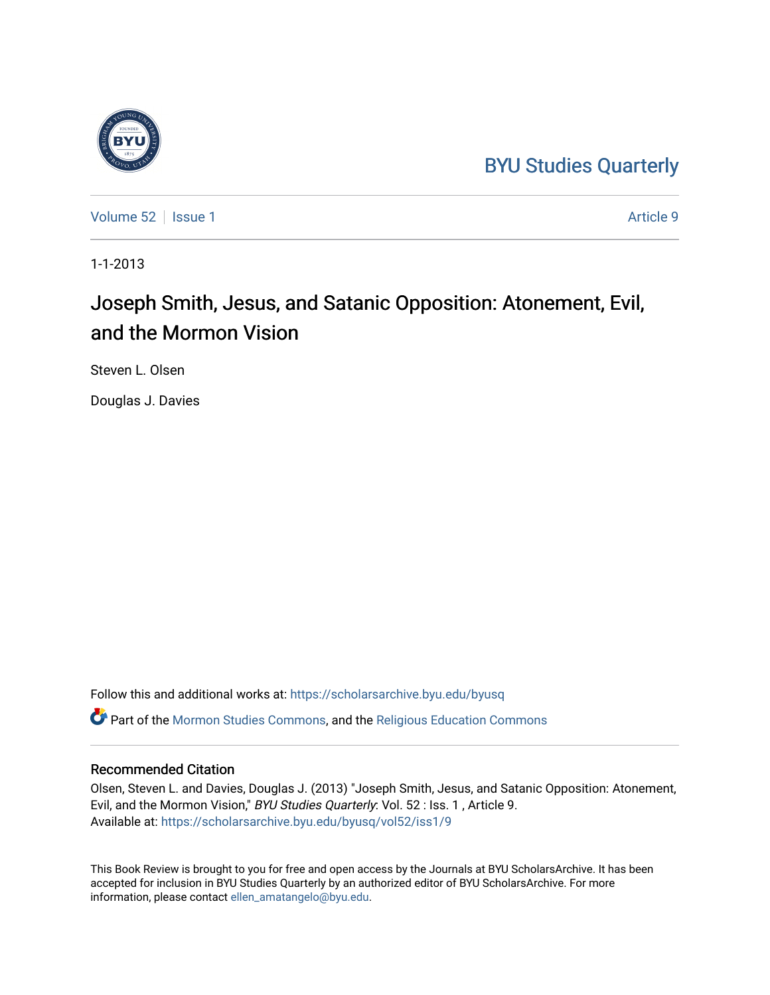## [BYU Studies Quarterly](https://scholarsarchive.byu.edu/byusq)



[Volume 52](https://scholarsarchive.byu.edu/byusq/vol52) | [Issue 1](https://scholarsarchive.byu.edu/byusq/vol52/iss1) Article 9

1-1-2013

## Joseph Smith, Jesus, and Satanic Opposition: Atonement, Evil, and the Mormon Vision

Steven L. Olsen

Douglas J. Davies

Follow this and additional works at: [https://scholarsarchive.byu.edu/byusq](https://scholarsarchive.byu.edu/byusq?utm_source=scholarsarchive.byu.edu%2Fbyusq%2Fvol52%2Fiss1%2F9&utm_medium=PDF&utm_campaign=PDFCoverPages)  Part of the [Mormon Studies Commons](http://network.bepress.com/hgg/discipline/1360?utm_source=scholarsarchive.byu.edu%2Fbyusq%2Fvol52%2Fiss1%2F9&utm_medium=PDF&utm_campaign=PDFCoverPages), and the [Religious Education Commons](http://network.bepress.com/hgg/discipline/1414?utm_source=scholarsarchive.byu.edu%2Fbyusq%2Fvol52%2Fiss1%2F9&utm_medium=PDF&utm_campaign=PDFCoverPages) 

## Recommended Citation

Olsen, Steven L. and Davies, Douglas J. (2013) "Joseph Smith, Jesus, and Satanic Opposition: Atonement, Evil, and the Mormon Vision," BYU Studies Quarterly: Vol. 52 : Iss. 1 , Article 9. Available at: [https://scholarsarchive.byu.edu/byusq/vol52/iss1/9](https://scholarsarchive.byu.edu/byusq/vol52/iss1/9?utm_source=scholarsarchive.byu.edu%2Fbyusq%2Fvol52%2Fiss1%2F9&utm_medium=PDF&utm_campaign=PDFCoverPages)

This Book Review is brought to you for free and open access by the Journals at BYU ScholarsArchive. It has been accepted for inclusion in BYU Studies Quarterly by an authorized editor of BYU ScholarsArchive. For more information, please contact [ellen\\_amatangelo@byu.edu.](mailto:ellen_amatangelo@byu.edu)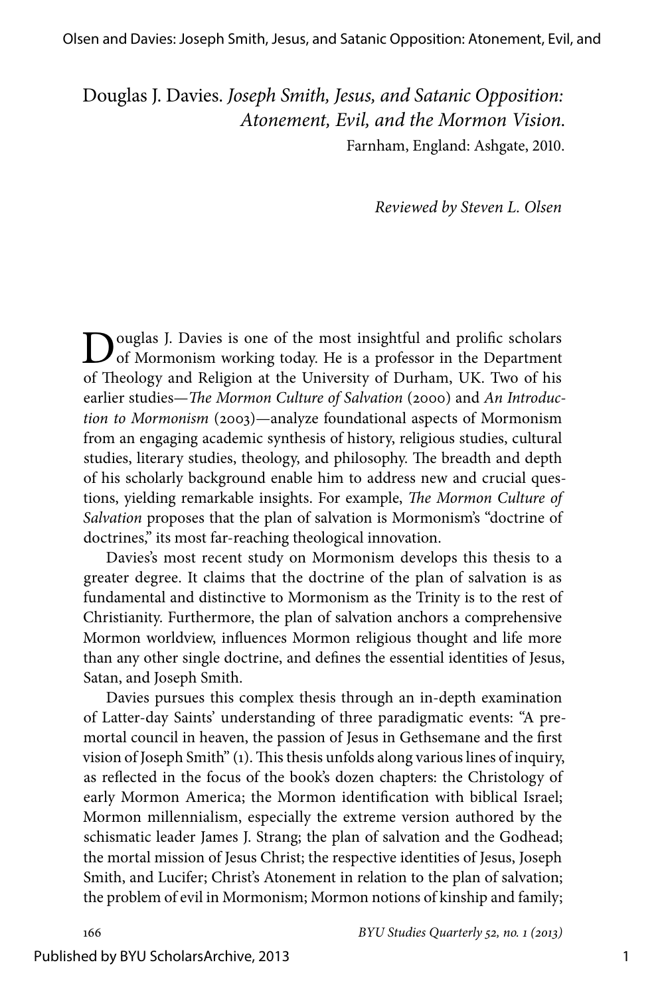Douglas J. Davies. *Joseph Smith, Jesus, and Satanic Opposition: Atonement, Evil, and the Mormon Vision.* Farnham, England: Ashgate, 2010.

*Reviewed by Steven L. Olsen*

**D**ouglas J. Davies is one of the most insightful and prolific scholars of Mormonism working today. He is a professor in the Department of Theology and Religion at the University of Durham, UK. Two of his earlier studies—*The Mormon Culture of Salvation* (2000) and *An Introduction to Mormonism* (2003)—analyze foundational aspects of Mormonism from an engaging academic synthesis of history, religious studies, cultural studies, literary studies, theology, and philosophy. The breadth and depth of his scholarly background enable him to address new and crucial questions, yielding remarkable insights. For example, *The Mormon Culture of Salvation* proposes that the plan of salvation is Mormonism's "doctrine of doctrines," its most far-reaching theological innovation.

Davies's most recent study on Mormonism develops this thesis to a greater degree. It claims that the doctrine of the plan of salvation is as fundamental and distinctive to Mormonism as the Trinity is to the rest of Christianity. Furthermore, the plan of salvation anchors a comprehensive Mormon worldview, influences Mormon religious thought and life more than any other single doctrine, and defines the essential identities of Jesus, Satan, and Joseph Smith.

Davies pursues this complex thesis through an in-depth examination of Latter-day Saints' understanding of three paradigmatic events: "A premortal council in heaven, the passion of Jesus in Gethsemane and the first vision of Joseph Smith" (1). This thesis unfolds along various lines of inquiry, as reflected in the focus of the book's dozen chapters: the Christology of early Mormon America; the Mormon identification with biblical Israel; Mormon millennialism, especially the extreme version authored by the schismatic leader James J. Strang; the plan of salvation and the Godhead; the mortal mission of Jesus Christ; the respective identities of Jesus, Joseph Smith, and Lucifer; Christ's Atonement in relation to the plan of salvation; the problem of evil in Mormonism; Mormon notions of kinship and family;

166 *BYU Studies Quarterly 52, no. 1 (213)*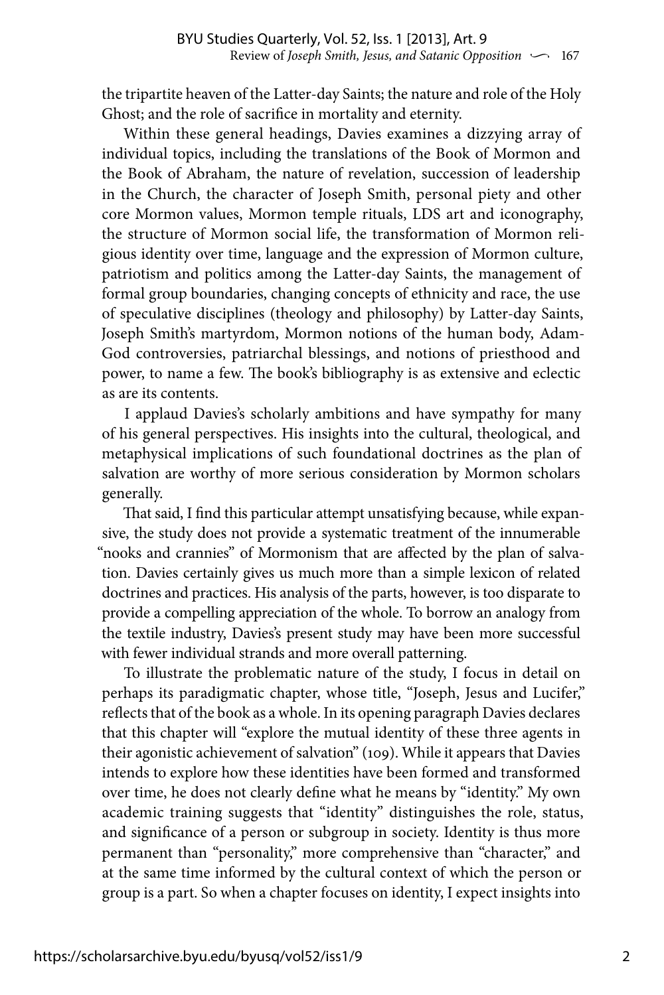the tripartite heaven of the Latter-day Saints; the nature and role of the Holy Ghost; and the role of sacrifice in mortality and eternity.

Within these general headings, Davies examines a dizzying array of individual topics, including the translations of the Book of Mormon and the Book of Abraham, the nature of revelation, succession of leadership in the Church, the character of Joseph Smith, personal piety and other core Mormon values, Mormon temple rituals, LDS art and iconography, the structure of Mormon social life, the transformation of Mormon religious identity over time, language and the expression of Mormon culture, patriotism and politics among the Latter-day Saints, the management of formal group boundaries, changing concepts of ethnicity and race, the use of speculative disciplines (theology and philosophy) by Latter-day Saints, Joseph Smith's martyrdom, Mormon notions of the human body, Adam-God controversies, patriarchal blessings, and notions of priesthood and power, to name a few. The book's bibliography is as extensive and eclectic as are its contents.

I applaud Davies's scholarly ambitions and have sympathy for many of his general perspectives. His insights into the cultural, theological, and metaphysical implications of such foundational doctrines as the plan of salvation are worthy of more serious consideration by Mormon scholars generally.

That said, I find this particular attempt unsatisfying because, while expansive, the study does not provide a systematic treatment of the innumerable "nooks and crannies" of Mormonism that are affected by the plan of salvation. Davies certainly gives us much more than a simple lexicon of related doctrines and practices. His analysis of the parts, however, is too disparate to provide a compelling appreciation of the whole. To borrow an analogy from the textile industry, Davies's present study may have been more successful with fewer individual strands and more overall patterning.

To illustrate the problematic nature of the study, I focus in detail on perhaps its paradigmatic chapter, whose title, "Joseph, Jesus and Lucifer," reflects that of the book as a whole. In its opening paragraph Davies declares that this chapter will "explore the mutual identity of these three agents in their agonistic achievement of salvation" (109). While it appears that Davies intends to explore how these identities have been formed and transformed over time, he does not clearly define what he means by "identity." My own academic training suggests that "identity" distinguishes the role, status, and significance of a person or subgroup in society. Identity is thus more permanent than "personality," more comprehensive than "character," and at the same time informed by the cultural context of which the person or group is a part. So when a chapter focuses on identity, I expect insights into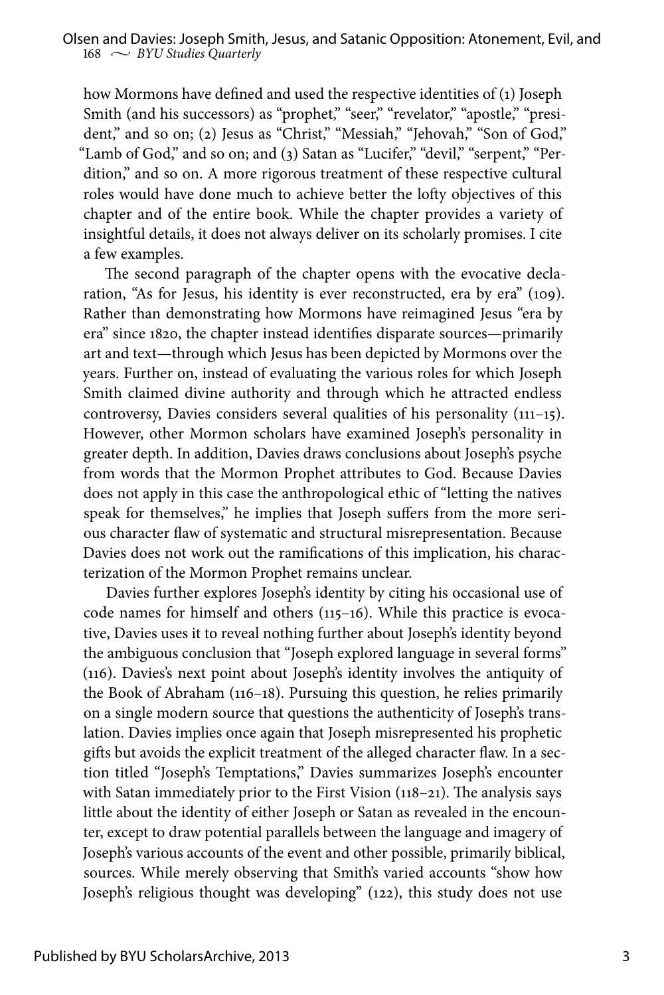how Mormons have defined and used the respective identities of (1) Joseph Smith (and his successors) as "prophet," "seer," "revelator," "apostle," "president," and so on; (2) Jesus as "Christ," "Messiah," "Jehovah," "Son of God," "Lamb of God," and so on; and (3) Satan as "Lucifer," "devil," "serpent," "Perdition," and so on. A more rigorous treatment of these respective cultural roles would have done much to achieve better the lofty objectives of this chapter and of the entire book. While the chapter provides a variety of insightful details, it does not always deliver on its scholarly promises. I cite a few examples.

The second paragraph of the chapter opens with the evocative declaration, "As for Jesus, his identity is ever reconstructed, era by era" (109). Rather than demonstrating how Mormons have reimagined Jesus "era by era" since 1820, the chapter instead identifies disparate sources—primarily art and text—through which Jesus has been depicted by Mormons over the years. Further on, instead of evaluating the various roles for which Joseph Smith claimed divine authority and through which he attracted endless controversy, Davies considers several qualities of his personality (111–15). However, other Mormon scholars have examined Joseph's personality in greater depth. In addition, Davies draws conclusions about Joseph's psyche from words that the Mormon Prophet attributes to God. Because Davies does not apply in this case the anthropological ethic of "letting the natives speak for themselves," he implies that Joseph suffers from the more serious character flaw of systematic and structural misrepresentation. Because Davies does not work out the ramifications of this implication, his characterization of the Mormon Prophet remains unclear.

Davies further explores Joseph's identity by citing his occasional use of code names for himself and others (115–16). While this practice is evocative, Davies uses it to reveal nothing further about Joseph's identity beyond the ambiguous conclusion that "Joseph explored language in several forms" (116). Davies's next point about Joseph's identity involves the antiquity of the Book of Abraham (116–18). Pursuing this question, he relies primarily on a single modern source that questions the authenticity of Joseph's translation. Davies implies once again that Joseph misrepresented his prophetic gifts but avoids the explicit treatment of the alleged character flaw. In a section titled "Joseph's Temptations," Davies summarizes Joseph's encounter with Satan immediately prior to the First Vision (118-21). The analysis says little about the identity of either Joseph or Satan as revealed in the encounter, except to draw potential parallels between the language and imagery of Joseph's various accounts of the event and other possible, primarily biblical, sources. While merely observing that Smith's varied accounts "show how Joseph's religious thought was developing" (122), this study does not use